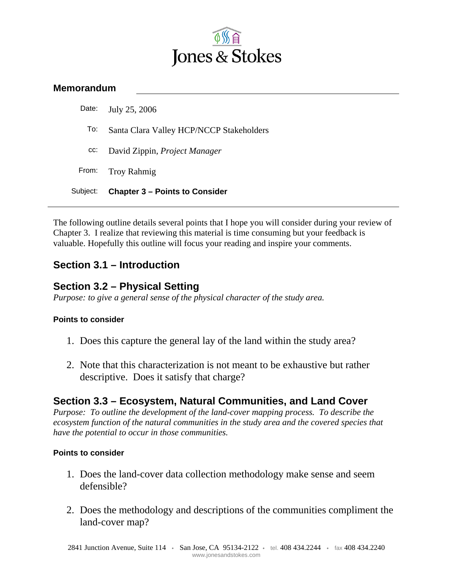

### **Memorandum**

| Subject: | <b>Chapter 3 – Points to Consider</b>    |
|----------|------------------------------------------|
| From:    | <b>Troy Rahmig</b>                       |
| CC:      | David Zippin, <i>Project Manager</i>     |
| To:      | Santa Clara Valley HCP/NCCP Stakeholders |
| Date:    | July 25, 2006                            |

The following outline details several points that I hope you will consider during your review of Chapter 3. I realize that reviewing this material is time consuming but your feedback is valuable. Hopefully this outline will focus your reading and inspire your comments.

# **Section 3.1 – Introduction**

## **Section 3.2 – Physical Setting**

*Purpose: to give a general sense of the physical character of the study area.* 

#### **Points to consider**

- 1. Does this capture the general lay of the land within the study area?
- 2. Note that this characterization is not meant to be exhaustive but rather descriptive. Does it satisfy that charge?

### **Section 3.3 – Ecosystem, Natural Communities, and Land Cover**

*Purpose: To outline the development of the land-cover mapping process. To describe the ecosystem function of the natural communities in the study area and the covered species that have the potential to occur in those communities.* 

#### **Points to consider**

- 1. Does the land-cover data collection methodology make sense and seem defensible?
- 2. Does the methodology and descriptions of the communities compliment the land-cover map?